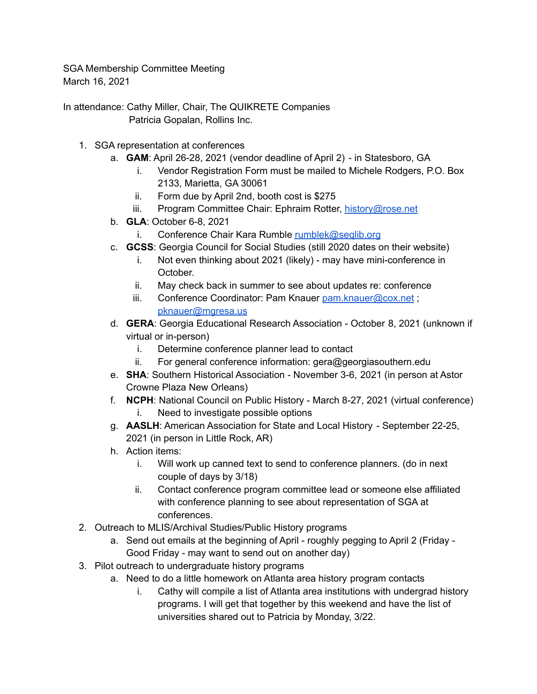SGA Membership Committee Meeting March 16, 2021

In attendance: Cathy Miller, Chair, The QUIKRETE Companies Patricia Gopalan, Rollins Inc.

- 1. SGA representation at conferences
	- a. **GAM**: April 26-28, 2021 (vendor deadline of April 2) in Statesboro, GA
		- i. Vendor Registration Form must be mailed to Michele Rodgers, P.O. Box 2133, Marietta, GA 30061
		- ii. Form due by April 2nd, booth cost is \$275
		- iii. Program Committee Chair: Ephraim Rotter, [history@rose.net](mailto:history@rose.net)
	- b. **GLA**: October 6-8, 2021
		- i. Conference Chair Kara Rumble [rumblek@seqlib.org](mailto:rumblek@seqlib.org)
	- c. **GCSS**: Georgia Council for Social Studies (still 2020 dates on their website)
		- i. Not even thinking about 2021 (likely) may have mini-conference in October.
		- ii. May check back in summer to see about updates re: conference
		- iii. Conference Coordinator: Pam Knauer [pam.knauer@cox.net](mailto:pam.knauer@cox.net) ; [pknauer@mgresa.us](mailto:pknauer@mgresa.us)
	- d. **GERA**: Georgia Educational Research Association October 8, 2021 (unknown if virtual or in-person)
		- i. Determine conference planner lead to contact
		- ii. For general conference information: gera@georgiasouthern.edu
	- e. **SHA**: Southern Historical Association November 3-6, 2021 (in person at Astor Crowne Plaza New Orleans)
	- f. **NCPH**: National Council on Public History March 8-27, 2021 (virtual conference) i. Need to investigate possible options
	- g. **AASLH**: American Association for State and Local History September 22-25, 2021 (in person in Little Rock, AR)
	- h. Action items:
		- i. Will work up canned text to send to conference planners. (do in next couple of days by 3/18)
		- ii. Contact conference program committee lead or someone else affiliated with conference planning to see about representation of SGA at conferences.
- 2. Outreach to MLIS/Archival Studies/Public History programs
	- a. Send out emails at the beginning of April roughly pegging to April 2 (Friday Good Friday - may want to send out on another day)
- 3. Pilot outreach to undergraduate history programs
	- a. Need to do a little homework on Atlanta area history program contacts
		- i. Cathy will compile a list of Atlanta area institutions with undergrad history programs. I will get that together by this weekend and have the list of universities shared out to Patricia by Monday, 3/22.